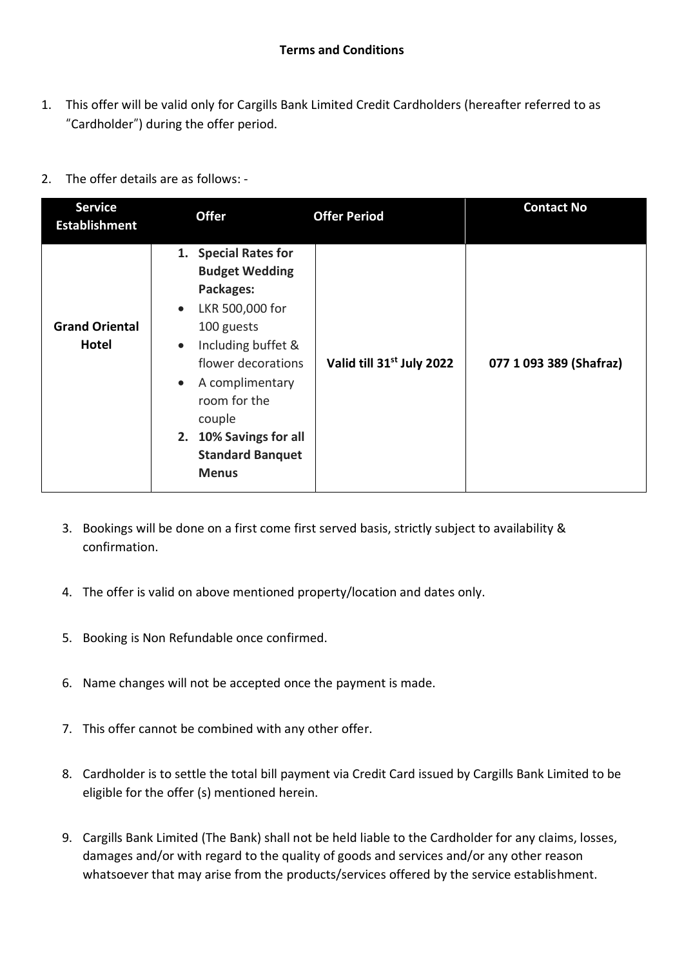- 1. This offer will be valid only for Cargills Bank Limited Credit Cardholders (hereafter referred to as "Cardholder") during the offer period.
- 2. The offer details are as follows: -

| <b>Service</b><br><b>Establishment</b> | <b>Offer</b>                                                                                                                                                                                                                                                                                     | <b>Offer Period</b>                   | <b>Contact No</b>       |
|----------------------------------------|--------------------------------------------------------------------------------------------------------------------------------------------------------------------------------------------------------------------------------------------------------------------------------------------------|---------------------------------------|-------------------------|
| <b>Grand Oriental</b><br>Hotel         | 1. Special Rates for<br><b>Budget Wedding</b><br>Packages:<br>LKR 500,000 for<br>$\bullet$<br>100 guests<br>Including buffet &<br>$\bullet$<br>flower decorations<br>A complimentary<br>$\bullet$<br>room for the<br>couple<br>2. 10% Savings for all<br><b>Standard Banquet</b><br><b>Menus</b> | Valid till 31 <sup>st</sup> July 2022 | 077 1 093 389 (Shafraz) |

- 3. Bookings will be done on a first come first served basis, strictly subject to availability & confirmation.
- 4. The offer is valid on above mentioned property/location and dates only.
- 5. Booking is Non Refundable once confirmed.
- 6. Name changes will not be accepted once the payment is made.
- 7. This offer cannot be combined with any other offer.
- 8. Cardholder is to settle the total bill payment via Credit Card issued by Cargills Bank Limited to be eligible for the offer (s) mentioned herein.
- 9. Cargills Bank Limited (The Bank) shall not be held liable to the Cardholder for any claims, losses, damages and/or with regard to the quality of goods and services and/or any other reason whatsoever that may arise from the products/services offered by the service establishment.